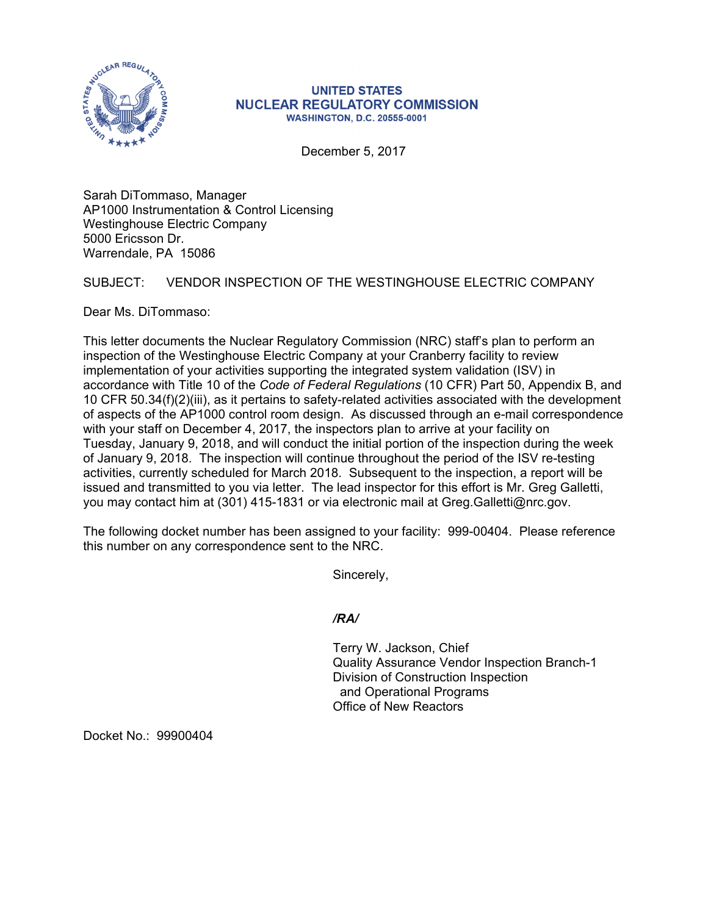

## **UNITED STATES NUCLEAR REGULATORY COMMISSION WASHINGTON, D.C. 20555-0001**

December 5, 2017

Sarah DiTommaso, Manager AP1000 Instrumentation & Control Licensing Westinghouse Electric Company 5000 Ericsson Dr. Warrendale, PA 15086

## SUBJECT: VENDOR INSPECTION OF THE WESTINGHOUSE ELECTRIC COMPANY

Dear Ms. DiTommaso:

This letter documents the Nuclear Regulatory Commission (NRC) staff's plan to perform an inspection of the Westinghouse Electric Company at your Cranberry facility to review implementation of your activities supporting the integrated system validation (ISV) in accordance with Title 10 of the *Code of Federal Regulations* (10 CFR) Part 50, Appendix B, and 10 CFR 50.34(f)(2)(iii), as it pertains to safety-related activities associated with the development of aspects of the AP1000 control room design. As discussed through an e-mail correspondence with your staff on December 4, 2017, the inspectors plan to arrive at your facility on Tuesday, January 9, 2018, and will conduct the initial portion of the inspection during the week of January 9, 2018. The inspection will continue throughout the period of the ISV re-testing activities, currently scheduled for March 2018. Subsequent to the inspection, a report will be issued and transmitted to you via letter. The lead inspector for this effort is Mr. Greg Galletti, you may contact him at (301) 415-1831 or via electronic mail at Greg.Galletti@nrc.gov.

The following docket number has been assigned to your facility: 999-00404. Please reference this number on any correspondence sent to the NRC.

Sincerely,

*/RA/* 

Terry W. Jackson, Chief Quality Assurance Vendor Inspection Branch-1 Division of Construction Inspection and Operational Programs Office of New Reactors

Docket No.: 99900404